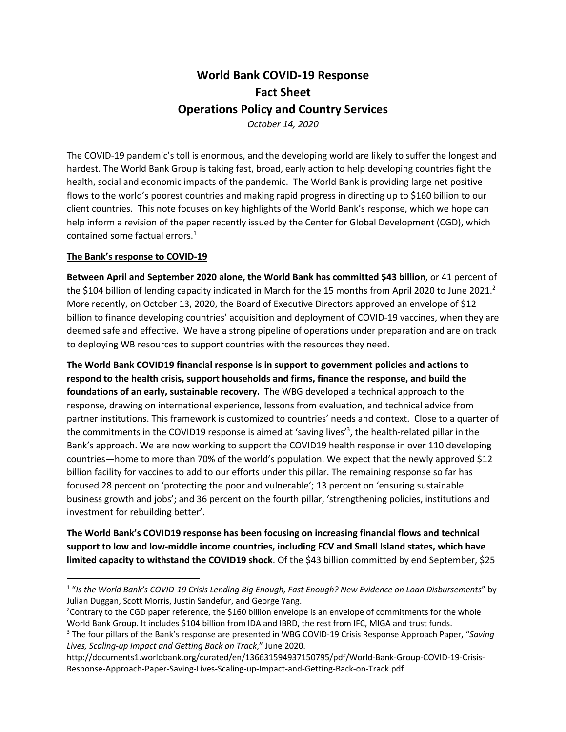## **World Bank COVID-19 Response Fact Sheet Operations Policy and Country Services** *October 14, 2020*

The COVID-19 pandemic's toll is enormous, and the developing world are likely to suffer the longest and hardest. The World Bank Group is taking fast, broad, early action to help developing countries fight the health, social and economic impacts of the pandemic. The World Bank is providing large net positive flows to the world's poorest countries and making rapid progress in directing up to \$160 billion to our client countries. This note focuses on key highlights of the World Bank's response, which we hope can help inform a revision of the paper recently issued by the Center for Global Development (CGD), which contained some factual errors.<sup>1</sup>

## **The Bank's response to COVID-19**

**Between April and September 2020 alone, the World Bank has committed \$43 billion**, or 41 percent of the \$104 billion of lending capacity indicated in March for the 15 months from April 2020 to June 2021.<sup>2</sup> More recently, on October 13, 2020, the Board of Executive Directors approved an envelope of \$12 billion to finance developing countries' acquisition and deployment of COVID-19 vaccines, when they are deemed safe and effective. We have a strong pipeline of operations under preparation and are on track to deploying WB resources to support countries with the resources they need.

**The World Bank COVID19 financial response is in support to government policies and actions to respond to the health crisis, support households and firms, finance the response, and build the foundations of an early, sustainable recovery.** The WBG developed a technical approach to the response, drawing on international experience, lessons from evaluation, and technical advice from partner institutions. This framework is customized to countries' needs and context. Close to a quarter of the commitments in the COVID19 response is aimed at 'saving lives'<sup>3</sup>, the health-related pillar in the Bank's approach. We are now working to support the COVID19 health response in over 110 developing countries—home to more than 70% of the world's population. We expect that the newly approved \$12 billion facility for vaccines to add to our efforts under this pillar. The remaining response so far has focused 28 percent on 'protecting the poor and vulnerable'; 13 percent on 'ensuring sustainable business growth and jobs'; and 36 percent on the fourth pillar, 'strengthening policies, institutions and investment for rebuilding better'.

**The World Bank's COVID19 response has been focusing on increasing financial flows and technical support to low and low-middle income countries, including FCV and Small Island states, which have limited capacity to withstand the COVID19 shock**. Of the \$43 billion committed by end September, \$25

<sup>1</sup> "*Is the World Bank's COVID-19 Crisis Lending Big Enough, Fast Enough? New Evidence on Loan Disbursements*" by Julian Duggan, Scott Morris, Justin Sandefur, and George Yang.

<sup>&</sup>lt;sup>2</sup> Contrary to the CGD paper reference, the \$160 billion envelope is an envelope of commitments for the whole World Bank Group. It includes \$104 billion from IDA and IBRD, the rest from IFC, MIGA and trust funds.

<sup>3</sup> The four pillars of the Bank's response are presented in WBG COVID-19 Crisis Response Approach Paper, "*Saving Lives, Scaling-up Impact and Getting Back on Track*," June 2020.

http://documents1.worldbank.org/curated/en/136631594937150795/pdf/World-Bank-Group-COVID-19-Crisis-Response-Approach-Paper-Saving-Lives-Scaling-up-Impact-and-Getting-Back-on-Track.pdf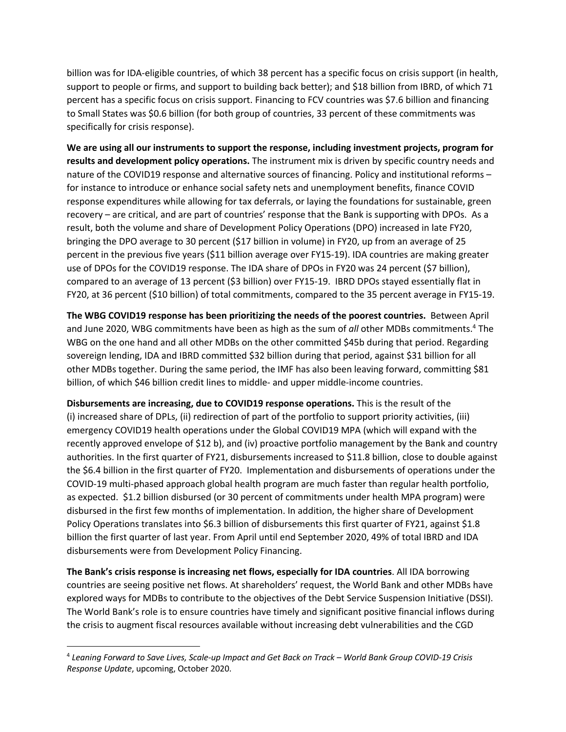billion was for IDA-eligible countries, of which 38 percent has a specific focus on crisis support (in health, support to people or firms, and support to building back better); and \$18 billion from IBRD, of which 71 percent has a specific focus on crisis support. Financing to FCV countries was \$7.6 billion and financing to Small States was \$0.6 billion (for both group of countries, 33 percent of these commitments was specifically for crisis response).

**We are using all our instruments to support the response, including investment projects, program for results and development policy operations.** The instrument mix is driven by specific country needs and nature of the COVID19 response and alternative sources of financing. Policy and institutional reforms – for instance to introduce or enhance social safety nets and unemployment benefits, finance COVID response expenditures while allowing for tax deferrals, or laying the foundations for sustainable, green recovery – are critical, and are part of countries' response that the Bank is supporting with DPOs. As a result, both the volume and share of Development Policy Operations (DPO) increased in late FY20, bringing the DPO average to 30 percent (\$17 billion in volume) in FY20, up from an average of 25 percent in the previous five years (\$11 billion average over FY15-19). IDA countries are making greater use of DPOs for the COVID19 response. The IDA share of DPOs in FY20 was 24 percent (\$7 billion), compared to an average of 13 percent (\$3 billion) over FY15-19. IBRD DPOs stayed essentially flat in FY20, at 36 percent (\$10 billion) of total commitments, compared to the 35 percent average in FY15-19.

**The WBG COVID19 response has been prioritizing the needs of the poorest countries.** Between April and June 2020, WBG commitments have been as high as the sum of *all* other MDBs commitments. <sup>4</sup> The WBG on the one hand and all other MDBs on the other committed \$45b during that period. Regarding sovereign lending, IDA and IBRD committed \$32 billion during that period, against \$31 billion for all other MDBs together. During the same period, the IMF has also been leaving forward, committing \$81 billion, of which \$46 billion credit lines to middle- and upper middle-income countries.

**Disbursements are increasing, due to COVID19 response operations.** This is the result of the (i) increased share of DPLs, (ii) redirection of part of the portfolio to support priority activities, (iii) emergency COVID19 health operations under the Global COVID19 MPA (which will expand with the recently approved envelope of \$12 b), and (iv) proactive portfolio management by the Bank and country authorities. In the first quarter of FY21, disbursements increased to \$11.8 billion, close to double against the \$6.4 billion in the first quarter of FY20. Implementation and disbursements of operations under the COVID-19 multi-phased approach global health program are much faster than regular health portfolio, as expected. \$1.2 billion disbursed (or 30 percent of commitments under health MPA program) were disbursed in the first few months of implementation. In addition, the higher share of Development Policy Operations translates into \$6.3 billion of disbursements this first quarter of FY21, against \$1.8 billion the first quarter of last year. From April until end September 2020, 49% of total IBRD and IDA disbursements were from Development Policy Financing.

**The Bank's crisis response is increasing net flows, especially for IDA countries**. All IDA borrowing countries are seeing positive net flows. At shareholders' request, the World Bank and other MDBs have explored ways for MDBs to contribute to the objectives of the Debt Service Suspension Initiative (DSSI). The World Bank's role is to ensure countries have timely and significant positive financial inflows during the crisis to augment fiscal resources available without increasing debt vulnerabilities and the CGD

<sup>4</sup> *Leaning Forward to Save Lives, Scale-up Impact and Get Back on Track – World Bank Group COVID-19 Crisis Response Update*, upcoming, October 2020.